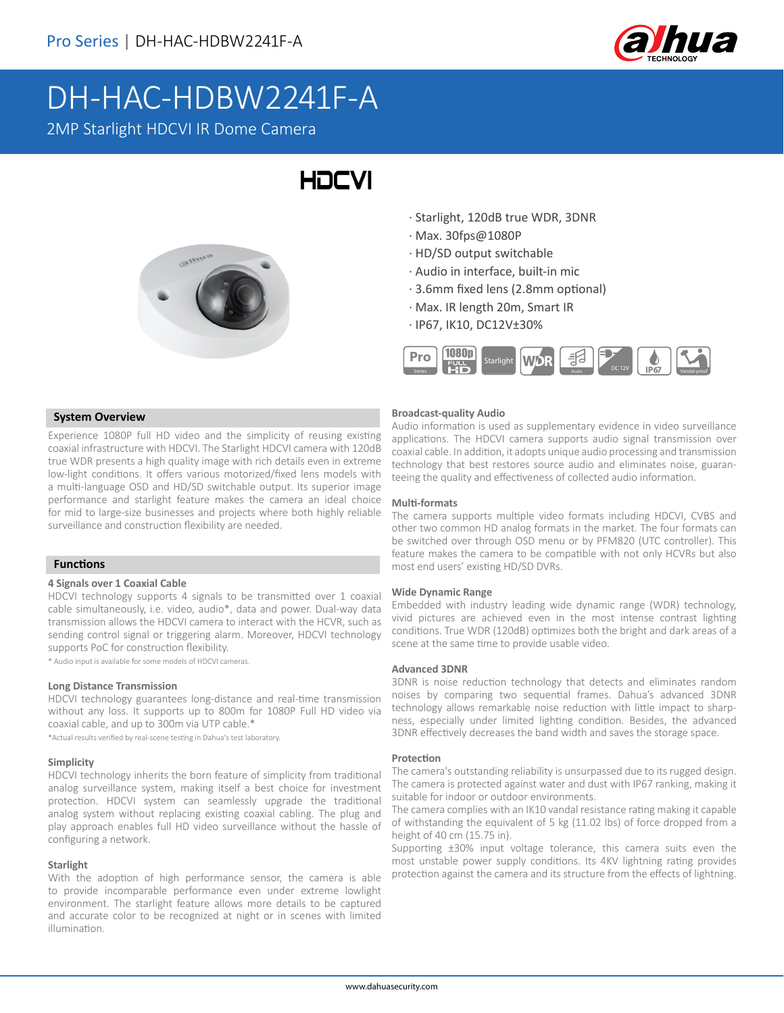

# DH-HAC-HDBW2241F-A

2MP Starlight HDCVI IR Dome Camera

## **HDCVI**



- · Starlight, 120dB true WDR, 3DNR
- · Max. 30fps@1080P
- · HD/SD output switchable
- · Audio in interface, built-in mic
- · 3.6mm fixed lens (2.8mm optional)
- · Max. IR length 20m, Smart IR
- · IP67, IK10, DC12V±30%



#### **System Overview**

Experience 1080P full HD video and the simplicity of reusing existing coaxial infrastructure with HDCVI. The Starlight HDCVI camera with 120dB true WDR presents a high quality image with rich details even in extreme low-light conditions. It offers various motorized/fixed lens models with a multi-language OSD and HD/SD switchable output. Its superior image performance and starlight feature makes the camera an ideal choice for mid to large-size businesses and projects where both highly reliable surveillance and construction flexibility are needed.

#### **Functions**

#### **4 Signals over 1 Coaxial Cable**

HDCVI technology supports 4 signals to be transmitted over 1 coaxial cable simultaneously, i.e. video, audio\*, data and power. Dual-way data transmission allows the HDCVI camera to interact with the HCVR, such as sending control signal or triggering alarm. Moreover, HDCVI technology supports PoC for construction flexibility.

\* Audio input is available for some models of HDCVI cameras.

#### **Long Distance Transmission**

HDCVI technology guarantees long-distance and real-time transmission without any loss. It supports up to 800m for 1080P Full HD video via coaxial cable, and up to 300m via UTP cable.\*

\*Actual results verified by real-scene testing in Dahua's test laboratory.

#### **Simplicity**

HDCVI technology inherits the born feature of simplicity from traditional analog surveillance system, making itself a best choice for investment protection. HDCVI system can seamlessly upgrade the traditional analog system without replacing existing coaxial cabling. The plug and play approach enables full HD video surveillance without the hassle of configuring a network.

#### **Starlight**

With the adoption of high performance sensor, the camera is able to provide incomparable performance even under extreme lowlight environment. The starlight feature allows more details to be captured and accurate color to be recognized at night or in scenes with limited illumination.

#### **Broadcast-quality Audio**

Audio information is used as supplementary evidence in video surveillance applications. The HDCVI camera supports audio signal transmission over coaxial cable. In addition, it adopts unique audio processing and transmission technology that best restores source audio and eliminates noise, guaranteeing the quality and effectiveness of collected audio information.

#### **Multi-formats**

The camera supports multiple video formats including HDCVI, CVBS and other two common HD analog formats in the market. The four formats can be switched over through OSD menu or by PFM820 (UTC controller). This feature makes the camera to be compatible with not only HCVRs but also most end users' existing HD/SD DVRs.

#### **Wide Dynamic Range**

Embedded with industry leading wide dynamic range (WDR) technology, vivid pictures are achieved even in the most intense contrast lighting conditions. True WDR (120dB) optimizes both the bright and dark areas of a scene at the same time to provide usable video.

#### **Advanced 3DNR**

3DNR is noise reduction technology that detects and eliminates random noises by comparing two sequential frames. Dahua's advanced 3DNR technology allows remarkable noise reduction with little impact to sharpness, especially under limited lighting condition. Besides, the advanced 3DNR effectively decreases the band width and saves the storage space.

#### **Protection**

The camera's outstanding reliability is unsurpassed due to its rugged design. The camera is protected against water and dust with IP67 ranking, making it suitable for indoor or outdoor environments.

The camera complies with an IK10 vandal resistance rating making it capable of withstanding the equivalent of 5 kg (11.02 lbs) of force dropped from a height of 40 cm (15.75 in).

Supporting ±30% input voltage tolerance, this camera suits even the most unstable power supply conditions. Its 4KV lightning rating provides protection against the camera and its structure from the effects of lightning.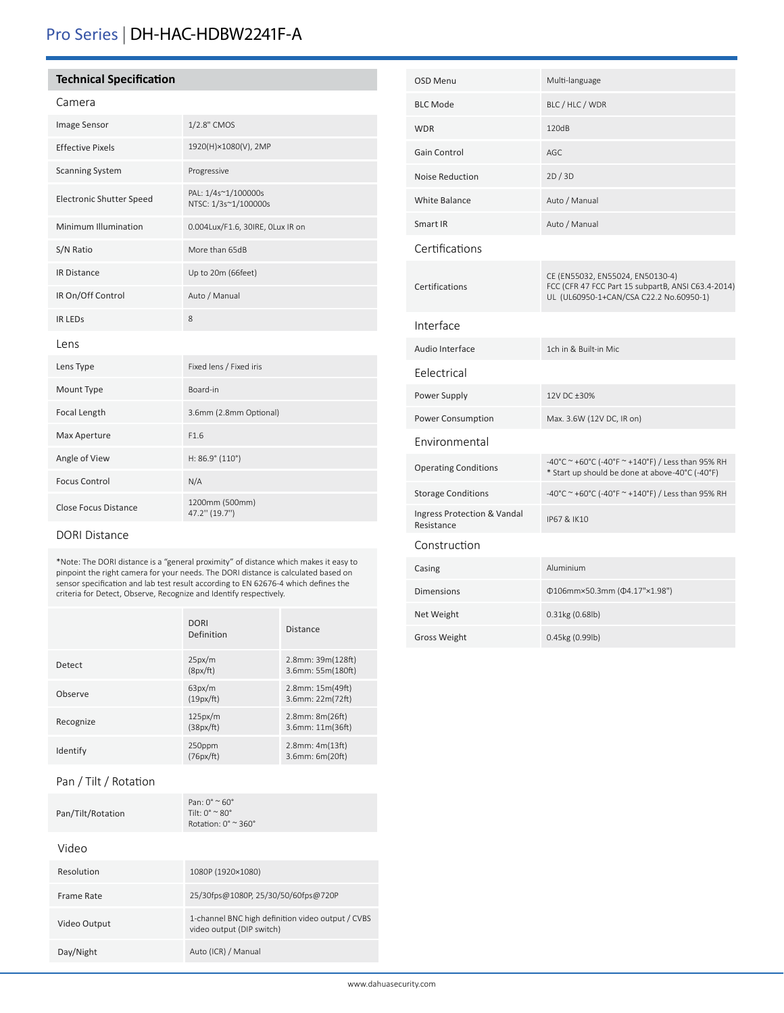## Pro Series | DH-HAC-HDBW2241F-A

#### **Technical Specification**

#### Camera

| <b>Image Sensor</b>         | 1/2.8" CMOS                                 |  |
|-----------------------------|---------------------------------------------|--|
| <b>Effective Pixels</b>     | 1920(H)×1080(V), 2MP                        |  |
| <b>Scanning System</b>      | Progressive                                 |  |
| Electronic Shutter Speed    | PAL: 1/4s~1/100000s<br>NTSC: 1/3s~1/100000s |  |
| Minimum Illumination        | 0.004Lux/F1.6, 30IRE, OLux IR on            |  |
| S/N Ratio                   | More than 65dB                              |  |
| <b>IR Distance</b>          | Up to 20m (66feet)                          |  |
| IR On/Off Control           | Auto / Manual                               |  |
| <b>IR LEDS</b>              | 8                                           |  |
| Lens                        |                                             |  |
| Lens Type                   | Fixed lens / Fixed iris                     |  |
| Mount Type                  | Board-in                                    |  |
| Focal Length                | 3.6mm (2.8mm Optional)                      |  |
| Max Aperture                | F1.6                                        |  |
| Angle of View               | $H: 86.9^{\circ} (110^{\circ})$             |  |
| <b>Focus Control</b>        | N/A                                         |  |
| <b>Close Focus Distance</b> | 1200mm (500mm)<br>47.2" (19.7")             |  |

#### DORI Distance

\*Note: The DORI distance is a "general proximity" of distance which makes it easy to pinpoint the right camera for your needs. The DORI distance is calculated based on sensor specification and lab test result according to EN 62676-4 which defines the criteria for Detect, Observe, Recognize and Identify respectively.

|           | <b>DORI</b><br>Definition | <b>Distance</b>                          |
|-----------|---------------------------|------------------------------------------|
| Detect    | 25px/m<br>(8px/ft)        | 2.8mm: 39m(128ft)<br>3.6mm: 55m(180ft)   |
| Observe   | 63px/m<br>(19px/ft)       | 2.8mm: 15m(49ft)<br>3.6mm: 22m(72ft)     |
| Recognize | 125px/m<br>(38px/ft)      | $2.8$ mm: $8m(26ft)$<br>3.6mm: 11m(36ft) |
| Identify  | 250ppm<br>(76px/ft)       | $2.8$ mm: $4m(13ft)$<br>3.6mm: 6m(20ft)  |

#### Pan / Tilt / Rotation

|                   | Pan: $0^\circ \approx 60^\circ$            |
|-------------------|--------------------------------------------|
| Pan/Tilt/Rotation | Tilt: $0^{\circ}$ $\sim$ 80 $^{\circ}$     |
|                   | Rotation: $0^\circ$ $\approx$ 360 $^\circ$ |

#### Video

| Resolution   | 1080P (1920×1080)                                                              |
|--------------|--------------------------------------------------------------------------------|
| Frame Rate   | 25/30fps@1080P, 25/30/50/60fps@720P                                            |
| Video Output | 1-channel BNC high definition video output / CVBS<br>video output (DIP switch) |
| Day/Night    | Auto (ICR) / Manual                                                            |

| OSD Menu                                  | Multi-language                                                                                                                    |
|-------------------------------------------|-----------------------------------------------------------------------------------------------------------------------------------|
| <b>BLC Mode</b>                           | BLC / HLC / WDR                                                                                                                   |
| <b>WDR</b>                                | 120dB                                                                                                                             |
| Gain Control                              | AGC                                                                                                                               |
| Noise Reduction                           | 2D/3D                                                                                                                             |
| White Balance                             | Auto / Manual                                                                                                                     |
| Smart IR                                  | Auto / Manual                                                                                                                     |
| Certifications                            |                                                                                                                                   |
| Certifications                            | CE (EN55032, EN55024, EN50130-4)<br>FCC (CFR 47 FCC Part 15 subpartB, ANSI C63.4-2014)<br>UL (UL60950-1+CAN/CSA C22.2 No.60950-1) |
| Interface                                 |                                                                                                                                   |
| Audio Interface                           | 1ch in & Built-in Mic                                                                                                             |
| Felectrical                               |                                                                                                                                   |
| Power Supply                              | 12V DC ±30%                                                                                                                       |
| Power Consumption                         | Max. 3.6W (12V DC, IR on)                                                                                                         |
| Environmental                             |                                                                                                                                   |
| <b>Operating Conditions</b>               | -40°C ~ +60°C (-40°F ~ +140°F) / Less than 95% RH<br>* Start up should be done at above-40°C (-40°F)                              |
| <b>Storage Conditions</b>                 | -40°C ~ +60°C (-40°F ~ +140°F) / Less than 95% RH                                                                                 |
| Ingress Protection & Vandal<br>Resistance | IP67 & IK10                                                                                                                       |
| Construction                              |                                                                                                                                   |
| Casing                                    | Aluminium                                                                                                                         |
| <b>Dimensions</b>                         | Φ106mm×50.3mm (Φ4.17"×1.98")                                                                                                      |
| Net Weight                                | 0.31kg (0.68lb)                                                                                                                   |
| <b>Gross Weight</b>                       | 0.45kg (0.99lb)                                                                                                                   |